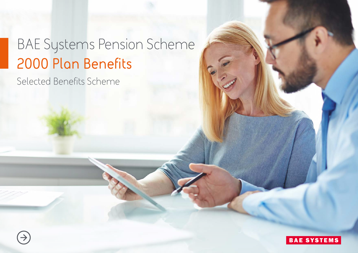# BAE Systems Pension Scheme **2000 Plan Benefits**

Selected Benefits Scheme

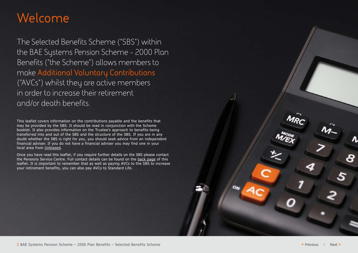# **Welcome**

The Selected Benefits Scheme ("SBS") within the BAE Systems Pension Scheme - 2000 Plan Benefits ("the Scheme") allows members to make **Additional Voluntary Contributions**  ("AVCs") whilst they are active members in order to increase their retirement and/or death benefits.

This leaflet covers information on the contributions payable and the benefits that may be provided by the SBS. It should be read in conjunction with the Scheme booklet. It also provides information on the Trustee's approach to benefits being transferred into and out of the SBS and the structure of the SBS. If you are in any doubt whether the SBS is right for you, you should seek advice from an independent financial adviser. If you do not have a financial adviser you may find one in your local area from [Unbiased.](http://www.unbiased.co.uk)

Once you have read this leaflet, if you require further details on the SBS please contact the Pensions Service Centre. Full contact details can be found on the [back page](#page-5-0) of this leaflet. It is important to remember that as well as paying AVCs to the SBS to increase your retirement benefits, you can also pay AVCs to Standard Life.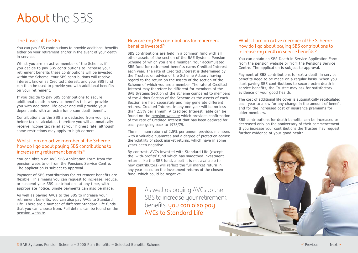# **About** the SBS

# **The basics of the SBS**

You can pay SBS contributions to provide additional benefits either on your retirement and/or in the event of your death in service.

Whilst you are an active member of the Scheme, if you decide to pay SBS contributions to increase your retirement benefits these contributions will be invested within the Scheme. Your SBS contributions will receive interest, known as Credited Interest, and your SBS fund can then be used to provide you with additional benefits on your retirement.

If you decide to pay SBS contributions to secure additional death in service benefits this will provide you with additional life cover and will provide your dependants with an extra lump sum death benefit.

Contributions to the SBS are deducted from your pay before tax is calculated, therefore you will automatically receive income tax relief at your highest rate, although some restrictions may apply to high earners.

### **Whilst I am an active member of the Scheme how do I go about paying SBS contributions to increase my retirement benefits?**

You can obtain an AVC SBS Application Form from the [pension website](https://www.baesystems.com/en-pensions/defined-benefits/2000-pension-plan) or from the Pensions Service Centre. The application is subject to approval.

Payment of SBS contributions for retirement benefits are flexible. This means you can request to increase, reduce, or suspend your SBS contributions at any time, with appropriate notice. Single payments can also be made.

As well as paying AVCs to the SBS to increase your retirement benefits, you can also pay AVCs to Standard Life. There are a number of different Standard Life funds that you can choose from. Full details can be found on the [pension website](https://www.baesystems.com/en-pensions/defined-benefits/2000-pension-plan).

### **How are my SBS contributions for retirement benefits invested?**

SBS contributions are held in a common fund with all other assets of the section of the BAE Systems Pension Scheme of which you are a member. Your accumulated SBS fund for retirement benefits earns Credited Interest each year. The rate of Credited Interest is determined by the Trustee, on advice of the Scheme Actuary having regard to the return on the assets of the section of the Scheme of which you are a member. The rate of Credited Interest may therefore be different for members of the BAE Systems Section of the Scheme compared to members of the Airbus Section of the Scheme as the assets of each Section are held separately and may generate different returns. Credited Interest in any one year will be no less than 2.5% per annum. A Credited Interest Table can be found on the [pension website](https://www.baesystems.com/en-pensions/defined-benefits/2000-pension-plan) which provides confirmation of the rate of Credited Interest that has been declared for each year going back to 1978/79.

The minimum return of 2.5% per annum provides members with a valuable guarantee and a degree of protection against the volatility of stock market returns, which have in some years been negative.

By contrast, AVCs invested with Standard Life (except the 'with-profits' fund which has smoothed investment returns like the SBS fund, albeit it is not available to new contributors) will reflect the full market return in any year based on the investment returns of the chosen fund, which could be negative.

> As well as paying AVCs to the SBS to increase your retirement benefits, **you can also pay AVCs to Standard Life**

### **Whilst I am an active member of the Scheme how do I go about paying SBS contributions to increase my death in service benefits?**

You can obtain an SBS Death in Service Application Form from the [pension website](https://www.baesystems.com/en-pensions/defined-benefits/2000-pension-plan) or from the Pensions Service Centre. The application is subject to approval.

Payment of SBS contributions for extra death in service benefits need to be made on a regular basis. When you start paying SBS contributions to secure extra death in service benefits, the Trustee may ask for satisfactory evidence of your good health.

The cost of additional life cover is automatically recalculated each year to allow for any change in the amount of benefit and for the increased cost of insurance premiums for older members.

SBS contributions for death benefits can be increased or decreased only on the anniversary of their commencement. If you increase your contributions the Trustee may request further evidence of your good health.

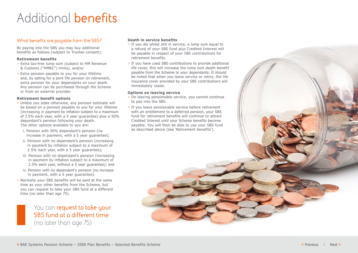# Additional **benefits**

### **What benefits are payable from the SBS?**

By paying into the SBS you may buy additional benefits as follows (subject to Trustee consent):

#### **Retirement benefits**

- > Extra tax-free lump sum (subject to HM Revenue & Customs ("HMRC") limits), and/or
- > Extra pension payable to you for your lifetime and, by opting for a joint life pension on retirement, extra pension for your dependants on your death. Any pension can be purchased through the Scheme or from an external provider.

#### **Retirement benefit options**

- > Unless you state otherwise, any pension estimate will be based on a pension payable to you for your lifetime (increasing in payment by inflation subject to a maximum of 2.5% each year, with a 5 year guarantee) plus a 50% dependant's pension following your death. The other options available to you are:
	- i. Pension with 50% dependant's pension (no increase in payment, with a 5 year guarantee);
	- ii. Pension with no dependant's pension (increasing in payment by inflation subject to a maximum of 2.5% each year, with a 5 year guarantee);
	- iii. Pension with no dependant's pension (increasing in payment by inflation subject to a maximum of 2.5% each year, without a 5 year guarantee); and
	- iv. Pension with no dependant's pension (no increase in payment, with a 5 year guarantee).
- > Normally your SBS benefits will be paid at the same time as your other benefits from the Scheme, but you can request to take your SBS fund at a different time (no later than age 75).

You can **request to take your SBS fund at a different time** (no later than age 75)

#### **Death in service benefits**

- > If you die whilst still in service, a lump sum equal to a refund of your SBS fund plus Credited Interest will be payable in respect of your SBS contributions for retirement benefits.
- > If you have used SBS contributions to provide additional life cover, this will increase the lump sum death benefit payable from the Scheme to your dependants. It should be noted that when you leave service or retire, the life insurance cover provided by your SBS contributions will immediately cease.

#### **Options on leaving service**

- > On leaving pensionable service, you cannot continue to pay into the SBS.
- > If you leave pensionable service before retirement with an entitlement to a deferred pension, your SBS fund for retirement benefits will continue to attract Credited Interest until your Scheme benefits become payable. You will then be able to use your SBS fund as described above (see 'Retirement benefits').

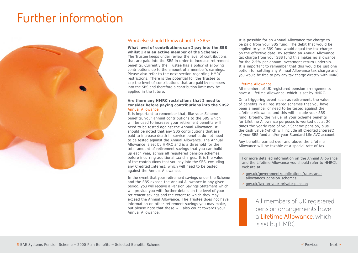# **Further information**



### **What else should I know about the SBS?**

**What level of contributions can I pay into the SBS whilst I am an active member of the Scheme?** The Trustee keeps under review the level of contributions that are paid into the SBS in order to increase retirement benefits. Currently the Trustee has a policy of allowing contributions up to the amount of a member's earnings. Please also refer to the next section regarding HMRC restrictions. There is the potential for the Trustee to cap the level of contributions that are paid by members into the SBS and therefore a contribution limit may be applied in the future.

#### **Are there any HMRC restrictions that I need to consider before paying contributions into the SBS?** Annual Allowance

It is important to remember that, like your Scheme benefits, your annual contributions to the SBS which will be used to increase your retirement benefits will need to be tested against the Annual Allowance. It should be noted that any SBS contributions that are paid to increase death in service benefits do not need to be tested against the Annual Allowance. The Annual Allowance is set by HMRC and is a threshold for the total amount of retirement savings that you can build up each year, across all registered pension schemes, before incurring additional tax charges. It is the value of the contributions that you pay into the SBS, excluding any Credited Interest, which will need to be tested against the Annual Allowance.

In the event that your retirement savings under the Scheme and the SBS exceed the Annual Allowance in any given period, you will receive a Pension Savings Statement which will provide you with further details on the level of your retirement savings and the extent to which they may exceed the Annual Allowance. The Trustee does not have information on other retirement savings you may make, but please note that these will also count towards your Annual Allowance.

It is possible for an Annual Allowance tax charge to be paid from your SBS fund. The debit that would be applied to your SBS fund would equal the tax charge on the effective date. By settling an Annual Allowance tax charge from your SBS fund this makes no allowance for the 2.5% per annum investment return underpin. It is important to remember that this would be just one option for settling any Annual Allowance tax charge and you would be free to pay any tax charge directly with HMRC.

#### Lifetime Allowance

All members of UK registered pension arrangements have a Lifetime Allowance, which is set by HMRC.

On a triggering event such as retirement, the value of benefits in all registered schemes that you have been a member of need to be tested against the Lifetime Allowance and this will include your SBS fund. Broadly, the 'value' of your Scheme benefits for Lifetime Allowance purposes is worked out at 20 times the yearly rate of your Scheme pension, plus the cash value (which will include all Credited Interest) of your SBS fund and/or your Standard Life AVC account.

Any benefits earned over and above the Lifetime Allowance will be taxable at a special rate of tax.

For more detailed information on the Annual Allowance and the Lifetime Allowance you should refer to HMRC's website at:

- > [gov.uk/government/publications/rates-and](https://www.gov.uk/government/publications/rates-and-allowances-pension-schemes)[allowances-pension-schemes](https://www.gov.uk/government/publications/rates-and-allowances-pension-schemes)
- > [gov.uk/tax-on-your-private-pension](https://www.gov.uk/tax-on-your-private-pension)

All members of UK registered pension arrangements have a **Lifetime Allowance**, which is set by HMRC